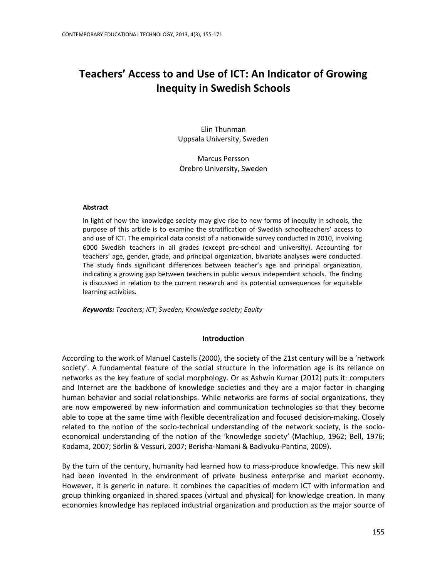# **Teachers' Access to and Use of ICT: An Indicator of Growing Inequity in Swedish Schools**

Elin Thunman Uppsala University, Sweden

Marcus Persson Örebro University, Sweden

#### **Abstract**

In light of how the knowledge society may give rise to new forms of inequity in schools, the purpose of this article is to examine the stratification of Swedish schoolteachers' access to and use of ICT. The empirical data consist of a nationwide survey conducted in 2010, involving 6000 Swedish teachers in all grades (except pre-school and university). Accounting for teachers' age, gender, grade, and principal organization, bivariate analyses were conducted. The study finds significant differences between teacher's age and principal organization, indicating a growing gap between teachers in public versus independent schools. The finding is discussed in relation to the current research and its potential consequences for equitable learning activities.

*Keywords: Teachers; ICT; Sweden; Knowledge society; Equity*

## **Introduction**

According to the work of Manuel Castells (2000), the society of the 21st century will be a 'network society'. A fundamental feature of the social structure in the information age is its reliance on networks as the key feature of social morphology. Or as Ashwin Kumar (2012) puts it: computers and Internet are the backbone of knowledge societies and they are a major factor in changing human behavior and social relationships. While networks are forms of social organizations, they are now empowered by new information and communication technologies so that they become able to cope at the same time with flexible decentralization and focused decision-making. Closely related to the notion of the socio-technical understanding of the network society, is the socioeconomical understanding of the notion of the 'knowledge society' (Machlup, 1962; Bell, 1976; Kodama, 2007; Sörlin & Vessuri, 2007; Berisha-Namani & Badivuku-Pantina, 2009).

By the turn of the century, humanity had learned how to mass-produce knowledge. This new skill had been invented in the environment of private business enterprise and market economy. However, it is generic in nature. It combines the capacities of modern ICT with information and group thinking organized in shared spaces (virtual and physical) for knowledge creation. In many economies knowledge has replaced industrial organization and production as the major source of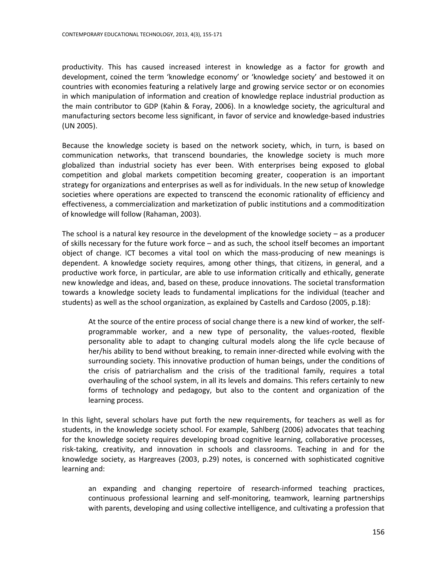productivity. This has caused increased interest in knowledge as a factor for growth and development, coined the term 'knowledge economy' or 'knowledge society' and bestowed it on countries with economies featuring a relatively large and growing service sector or on economies in which manipulation of information and creation of knowledge replace industrial production as the main contributor to GDP (Kahin & Foray, 2006). In a knowledge society, the agricultural and manufacturing sectors become less significant, in favor of service and knowledge-based industries (UN 2005).

Because the knowledge society is based on the network society, which, in turn, is based on communication networks, that transcend boundaries, the knowledge society is much more globalized than industrial society has ever been. With enterprises being exposed to global competition and global markets competition becoming greater, cooperation is an important strategy for organizations and enterprises as well as for individuals. In the new setup of knowledge societies where operations are expected to transcend the economic rationality of efficiency and effectiveness, a commercialization and marketization of public institutions and a commoditization of knowledge will follow (Rahaman, 2003).

The school is a natural key resource in the development of the knowledge society  $-$  as a producer of skills necessary for the future work force – and as such, the school itself becomes an important object of change. ICT becomes a vital tool on which the mass-producing of new meanings is dependent. A knowledge society requires, among other things, that citizens, in general, and a productive work force, in particular, are able to use information critically and ethically, generate new knowledge and ideas, and, based on these, produce innovations. The societal transformation towards a knowledge society leads to fundamental implications for the individual (teacher and students) as well as the school organization, as explained by Castells and Cardoso (2005, p.18):

At the source of the entire process of social change there is a new kind of worker, the selfprogrammable worker, and a new type of personality, the values-rooted, flexible personality able to adapt to changing cultural models along the life cycle because of her/his ability to bend without breaking, to remain inner-directed while evolving with the surrounding society. This innovative production of human beings, under the conditions of the crisis of patriarchalism and the crisis of the traditional family, requires a total overhauling of the school system, in all its levels and domains. This refers certainly to new forms of technology and pedagogy, but also to the content and organization of the learning process.

In this light, several scholars have put forth the new requirements, for teachers as well as for students, in the knowledge society school. For example, Sahlberg (2006) advocates that teaching for the knowledge society requires developing broad cognitive learning, collaborative processes, risk-taking, creativity, and innovation in schools and classrooms. Teaching in and for the knowledge society, as Hargreaves (2003, p.29) notes, is concerned with sophisticated cognitive learning and:

an expanding and changing repertoire of research-informed teaching practices, continuous professional learning and self-monitoring, teamwork, learning partnerships with parents, developing and using collective intelligence, and cultivating a profession that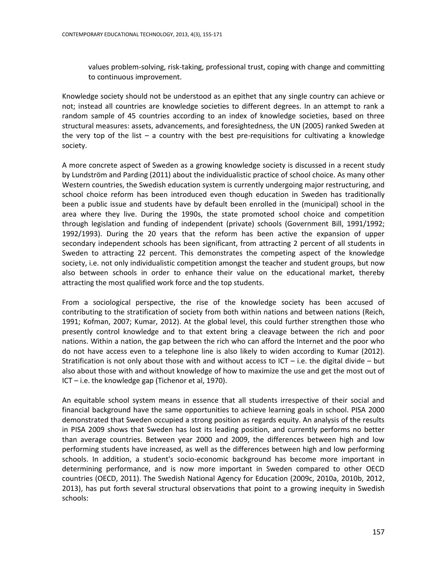values problem-solving, risk-taking, professional trust, coping with change and committing to continuous improvement.

Knowledge society should not be understood as an epithet that any single country can achieve or not; instead all countries are knowledge societies to different degrees. In an attempt to rank a random sample of 45 countries according to an index of knowledge societies, based on three structural measures: assets, advancements, and foresightedness, the UN (2005) ranked Sweden at the very top of the list  $-$  a country with the best pre-requisitions for cultivating a knowledge society.

A more concrete aspect of Sweden as a growing knowledge society is discussed in a recent study by Lundström and Parding (2011) about the individualistic practice of school choice. As many other Western countries, the Swedish education system is currently undergoing major restructuring, and school choice reform has been introduced even though education in Sweden has traditionally been a public issue and students have by default been enrolled in the (municipal) school in the area where they live. During the 1990s, the state promoted school choice and competition through legislation and funding of independent (private) schools (Government Bill, 1991/1992; 1992/1993). During the 20 years that the reform has been active the expansion of upper secondary independent schools has been significant, from attracting 2 percent of all students in Sweden to attracting 22 percent. This demonstrates the competing aspect of the knowledge society, i.e. not only individualistic competition amongst the teacher and student groups, but now also between schools in order to enhance their value on the educational market, thereby attracting the most qualified work force and the top students.

From a sociological perspective, the rise of the knowledge society has been accused of contributing to the stratification of society from both within nations and between nations (Reich, 1991; Kofman, 2007; Kumar, 2012). At the global level, this could further strengthen those who presently control knowledge and to that extent bring a cleavage between the rich and poor nations. Within a nation, the gap between the rich who can afford the Internet and the poor who do not have access even to a telephone line is also likely to widen according to Kumar (2012). Stratification is not only about those with and without access to ICT – i.e. the digital divide – but also about those with and without knowledge of how to maximize the use and get the most out of ICT – i.e. the knowledge gap (Tichenor et al, 1970).

An equitable school system means in essence that all students irrespective of their social and financial background have the same opportunities to achieve learning goals in school. PISA 2000 demonstrated that Sweden occupied a strong position as regards equity. An analysis of the results in PISA 2009 shows that Sweden has lost its leading position, and currently performs no better than average countries. Between year 2000 and 2009, the differences between high and low performing students have increased, as well as the differences between high and low performing schools. In addition, a student's socio-economic background has become more important in determining performance, and is now more important in Sweden compared to other OECD countries (OECD, 2011). The Swedish National Agency for Education (2009c, 2010a, 2010b, 2012, 2013), has put forth several structural observations that point to a growing inequity in Swedish schools: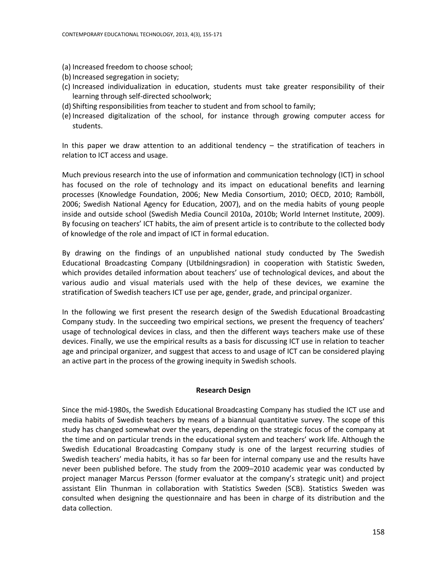- (a) Increased freedom to choose school;
- (b) Increased segregation in society;
- (c) Increased individualization in education, students must take greater responsibility of their learning through self-directed schoolwork;
- (d) Shifting responsibilities from teacher to student and from school to family;
- (e) Increased digitalization of the school, for instance through growing computer access for students.

In this paper we draw attention to an additional tendency – the stratification of teachers in relation to ICT access and usage.

Much previous research into the use of information and communication technology (ICT) in school has focused on the role of technology and its impact on educational benefits and learning processes (Knowledge Foundation, 2006; New Media Consortium, 2010; OECD, 2010; Ramböll, 2006; Swedish National Agency for Education, 2007), and on the media habits of young people inside and outside school (Swedish Media Council 2010a, 2010b; World Internet Institute, 2009). By focusing on teachers' ICT habits, the aim of present article is to contribute to the collected body of knowledge of the role and impact of ICT in formal education.

By drawing on the findings of an unpublished national study conducted by The Swedish Educational Broadcasting Company (Utbildningsradion) in cooperation with Statistic Sweden, which provides detailed information about teachers' use of technological devices, and about the various audio and visual materials used with the help of these devices, we examine the stratification of Swedish teachers ICT use per age, gender, grade, and principal organizer.

In the following we first present the research design of the Swedish Educational Broadcasting Company study. In the succeeding two empirical sections, we present the frequency of teachers' usage of technological devices in class, and then the different ways teachers make use of these devices. Finally, we use the empirical results as a basis for discussing ICT use in relation to teacher age and principal organizer, and suggest that access to and usage of ICT can be considered playing an active part in the process of the growing inequity in Swedish schools.

## **Research Design**

Since the mid-1980s, the Swedish Educational Broadcasting Company has studied the ICT use and media habits of Swedish teachers by means of a biannual quantitative survey. The scope of this study has changed somewhat over the years, depending on the strategic focus of the company at the time and on particular trends in the educational system and teachers' work life. Although the Swedish Educational Broadcasting Company study is one of the largest recurring studies of Swedish teachers' media habits, it has so far been for internal company use and the results have never been published before. The study from the 2009–2010 academic year was conducted by project manager Marcus Persson (former evaluator at the company's strategic unit) and project assistant Elin Thunman in collaboration with Statistics Sweden (SCB). Statistics Sweden was consulted when designing the questionnaire and has been in charge of its distribution and the data collection.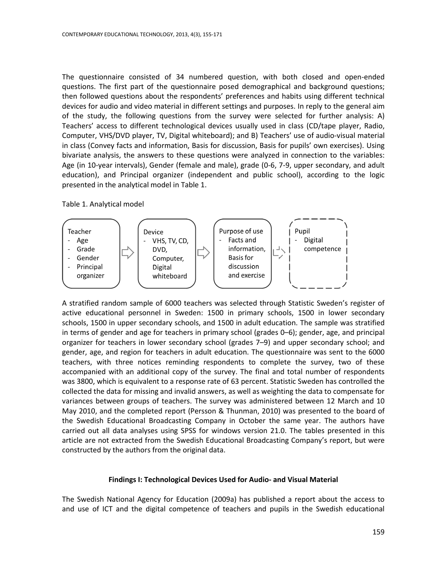The questionnaire consisted of 34 numbered question, with both closed and open-ended questions. The first part of the questionnaire posed demographical and background questions; then followed questions about the respondents' preferences and habits using different technical devices for audio and video material in different settings and purposes. In reply to the general aim of the study, the following questions from the survey were selected for further analysis: A) Teachers' access to different technological devices usually used in class (CD/tape player, Radio, Computer, VHS/DVD player, TV, Digital whiteboard); and B) Teachers' use of audio-visual material in class (Convey facts and information, Basis for discussion, Basis for pupils' own exercises). Using bivariate analysis, the answers to these questions were analyzed in connection to the variables: Age (in 10-year intervals), Gender (female and male), grade (0-6, 7-9, upper secondary, and adult education), and Principal organizer (independent and public school), according to the logic presented in the analytical model in Table 1.

#### Table 1. Analytical model



A stratified random sample of 6000 teachers was selected through Statistic Sweden's register of active educational personnel in Sweden: 1500 in primary schools, 1500 in lower secondary schools, 1500 in upper secondary schools, and 1500 in adult education. The sample was stratified in terms of gender and age for teachers in primary school (grades 0–6); gender, age, and principal organizer for teachers in lower secondary school (grades 7–9) and upper secondary school; and gender, age, and region for teachers in adult education. The questionnaire was sent to the 6000 teachers, with three notices reminding respondents to complete the survey, two of these accompanied with an additional copy of the survey. The final and total number of respondents was 3800, which is equivalent to a response rate of 63 percent. Statistic Sweden has controlled the collected the data for missing and invalid answers, as well as weighting the data to compensate for variances between groups of teachers. The survey was administered between 12 March and 10 May 2010, and the completed report (Persson & Thunman, 2010) was presented to the board of the Swedish Educational Broadcasting Company in October the same year. The authors have carried out all data analyses using SPSS for windows version 21.0. The tables presented in this article are not extracted from the Swedish Educational Broadcasting Company's report, but were constructed by the authors from the original data.

#### **Findings I: Technological Devices Used for Audio- and Visual Material**

The Swedish National Agency for Education (2009a) has published a report about the access to and use of ICT and the digital competence of teachers and pupils in the Swedish educational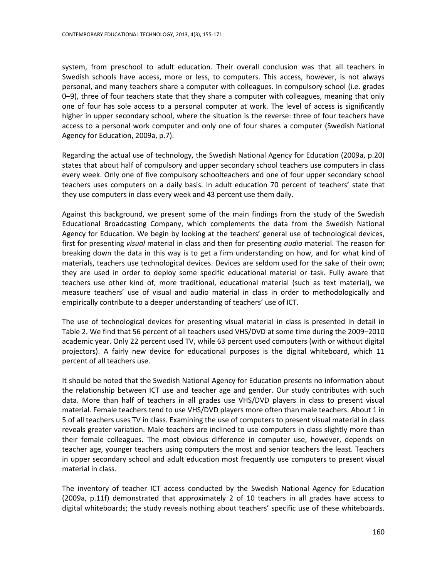system, from preschool to adult education. Their overall conclusion was that all teachers in Swedish schools have access, more or less, to computers. This access, however, is not always personal, and many teachers share a computer with colleagues. In compulsory school (i.e. grades 0–9), three of four teachers state that they share a computer with colleagues, meaning that only one of four has sole access to a personal computer at work. The level of access is significantly higher in upper secondary school, where the situation is the reverse: three of four teachers have access to a personal work computer and only one of four shares a computer (Swedish National Agency for Education, 2009a, p.7).

Regarding the actual use of technology, the Swedish National Agency for Education (2009a, p.20) states that about half of compulsory and upper secondary school teachers use computers in class every week. Only one of five compulsory schoolteachers and one of four upper secondary school teachers uses computers on a daily basis. In adult education 70 percent of teachers' state that they use computers in class every week and 43 percent use them daily.

Against this background, we present some of the main findings from the study of the Swedish Educational Broadcasting Company, which complements the data from the Swedish National Agency for Education. We begin by looking at the teachers' general use of technological devices, first for presenting *visual* material in class and then for presenting *audio* material. The reason for breaking down the data in this way is to get a firm understanding on how, and for what kind of materials, teachers use technological devices. Devices are seldom used for the sake of their own; they are used in order to deploy some specific educational material or task. Fully aware that teachers use other kind of, more traditional, educational material (such as text material), we measure teachers' use of visual and audio material in class in order to methodologically and empirically contribute to a deeper understanding of teachers' use of ICT.

The use of technological devices for presenting visual material in class is presented in detail in Table 2. We find that 56 percent of all teachers used VHS/DVD at some time during the 2009–2010 academic year. Only 22 percent used TV, while 63 percent used computers (with or without digital projectors). A fairly new device for educational purposes is the digital whiteboard, which 11 percent of all teachers use.

It should be noted that the Swedish National Agency for Education presents no information about the relationship between ICT use and teacher age and gender. Our study contributes with such data. More than half of teachers in all grades use VHS/DVD players in class to present visual material. Female teachers tend to use VHS/DVD players more often than male teachers. About 1 in 5 of all teachers uses TV in class. Examining the use of computers to present visual material in class reveals greater variation. Male teachers are inclined to use computers in class slightly more than their female colleagues. The most obvious difference in computer use, however, depends on teacher age, younger teachers using computers the most and senior teachers the least. Teachers in upper secondary school and adult education most frequently use computers to present visual material in class.

The inventory of teacher ICT access conducted by the Swedish National Agency for Education (2009a, p.11f) demonstrated that approximately 2 of 10 teachers in all grades have access to digital whiteboards; the study reveals nothing about teachers' specific use of these whiteboards.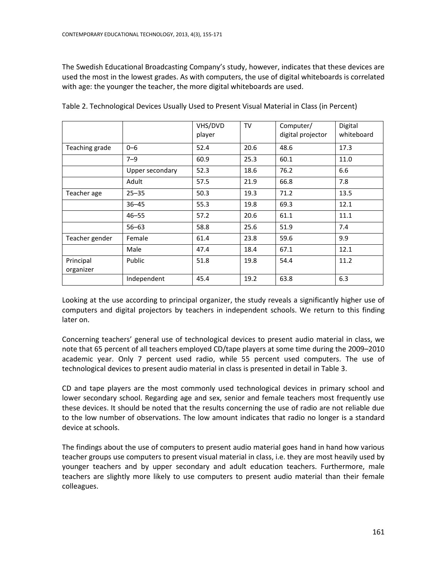The Swedish Educational Broadcasting Company's study, however, indicates that these devices are used the most in the lowest grades. As with computers, the use of digital whiteboards is correlated with age: the younger the teacher, the more digital whiteboards are used.

|                        |                 | VHS/DVD<br>player | TV   | Computer/<br>digital projector | Digital<br>whiteboard |
|------------------------|-----------------|-------------------|------|--------------------------------|-----------------------|
| Teaching grade         | $0 - 6$         | 52.4              | 20.6 | 48.6                           | 17.3                  |
|                        | $7 - 9$         | 60.9              | 25.3 | 60.1                           | 11.0                  |
|                        | Upper secondary | 52.3              | 18.6 | 76.2                           | 6.6                   |
|                        | Adult           | 57.5              | 21.9 | 66.8                           | 7.8                   |
| Teacher age            | $25 - 35$       | 50.3              | 19.3 | 71.2                           | 13.5                  |
|                        | $36 - 45$       | 55.3              | 19.8 | 69.3                           | 12.1                  |
|                        | $46 - 55$       | 57.2              | 20.6 | 61.1                           | 11.1                  |
|                        | $56 - 63$       | 58.8              | 25.6 | 51.9                           | 7.4                   |
| Teacher gender         | Female          | 61.4              | 23.8 | 59.6                           | 9.9                   |
|                        | Male            | 47.4              | 18.4 | 67.1                           | 12.1                  |
| Principal<br>organizer | Public          | 51.8              | 19.8 | 54.4                           | 11.2                  |
|                        | Independent     | 45.4              | 19.2 | 63.8                           | 6.3                   |

Table 2. Technological Devices Usually Used to Present Visual Material in Class (in Percent)

Looking at the use according to principal organizer, the study reveals a significantly higher use of computers and digital projectors by teachers in independent schools. We return to this finding later on.

Concerning teachers' general use of technological devices to present audio material in class, we note that 65 percent of all teachers employed CD/tape players at some time during the 2009–2010 academic year. Only 7 percent used radio, while 55 percent used computers. The use of technological devices to present audio material in class is presented in detail in Table 3.

CD and tape players are the most commonly used technological devices in primary school and lower secondary school. Regarding age and sex, senior and female teachers most frequently use these devices. It should be noted that the results concerning the use of radio are not reliable due to the low number of observations. The low amount indicates that radio no longer is a standard device at schools.

The findings about the use of computers to present audio material goes hand in hand how various teacher groups use computers to present visual material in class, i.e. they are most heavily used by younger teachers and by upper secondary and adult education teachers. Furthermore, male teachers are slightly more likely to use computers to present audio material than their female colleagues.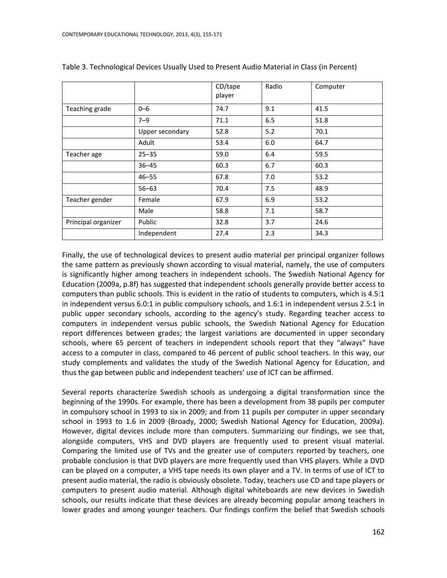|                     |                 | CD/tape<br>player | Radio | Computer |
|---------------------|-----------------|-------------------|-------|----------|
| Teaching grade      | $0 - 6$         | 74.7              | 9.1   | 41.5     |
|                     | $7 - 9$         | 71.1              | 6.5   | 51.8     |
|                     | Upper secondary | 52.8              | 5.2   | 70.1     |
|                     | Adult           | 53.4              | 6.0   | 64.7     |
| Teacher age         | $25 - 35$       | 59.0              | 6.4   | 59.5     |
|                     | $36 - 45$       | 60.3              | 6.7   | 60.3     |
|                     | $46 - 55$       | 67.8              | 7.0   | 53.2     |
|                     | $56 - 63$       | 70.4              | 7.5   | 48.9     |
| Teacher gender      | Female          | 67.9              | 6.9   | 53.2     |
|                     | Male            | 58.8              | 7.1   | 58.7     |
| Principal organizer | Public          | 32.8              | 3.7   | 24.6     |
|                     | Independent     | 27.4              | 2.3   | 34.3     |

Table 3. Technological Devices Usually Used to Present Audio Material in Class (in Percent)

Finally, the use of technological devices to present audio material per principal organizer follows the same pattern as previously shown according to visual material, namely, the use of computers is significantly higher among teachers in independent schools. The Swedish National Agency for Education (2009a, p.8f) has suggested that independent schools generally provide better access to computers than public schools. This is evident in the ratio of students to computers, which is 4.5:1 in independent versus 6.0:1 in public compulsory schools, and 1.6:1 in independent versus 2.5:1 in public upper secondary schools, according to the agency's study. Regarding teacher access to computers in independent versus public schools, the Swedish National Agency for Education report differences between grades; the largest variations are documented in upper secondary schools, where 65 percent of teachers in independent schools report that they "always" have access to a computer in class, compared to 46 percent of public school teachers. In this way, our study complements and validates the study of the Swedish National Agency for Education, and thus the gap between public and independent teachers' use of ICT can be affirmed.

Several reports characterize Swedish schools as undergoing a digital transformation since the beginning of the 1990s. For example, there has been a development from 38 pupils per computer in compulsory school in 1993 to six in 2009; and from 11 pupils per computer in upper secondary school in 1993 to 1.6 in 2009 (Broady, 2000; Swedish National Agency for Education, 2009a). However, digital devices include more than computers. Summarizing our findings, we see that, alongside computers, VHS and DVD players are frequently used to present visual material. Comparing the limited use of TVs and the greater use of computers reported by teachers, one probable conclusion is that DVD players are more frequently used than VHS players. While a DVD can be played on a computer, a VHS tape needs its own player and a TV. In terms of use of ICT to present audio material, the radio is obviously obsolete. Today, teachers use CD and tape players or computers to present audio material. Although digital whiteboards are new devices in Swedish schools, our results indicate that these devices are already becoming popular among teachers in lower grades and among younger teachers. Our findings confirm the belief that Swedish schools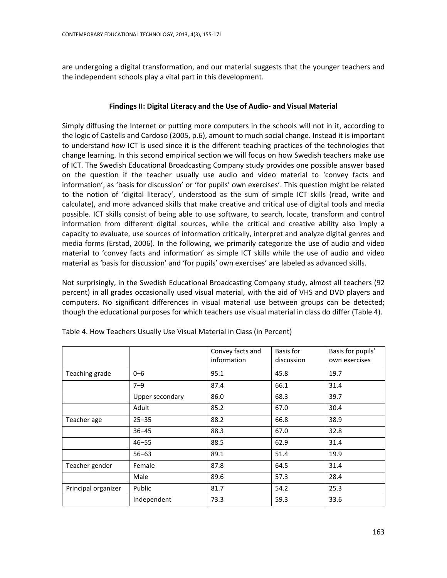are undergoing a digital transformation, and our material suggests that the younger teachers and the independent schools play a vital part in this development.

## **Findings II: Digital Literacy and the Use of Audio- and Visual Material**

Simply diffusing the Internet or putting more computers in the schools will not in it, according to the logic of Castells and Cardoso (2005, p.6), amount to much social change. Instead it is important to understand *how* ICT is used since it is the different teaching practices of the technologies that change learning. In this second empirical section we will focus on how Swedish teachers make use of ICT. The Swedish Educational Broadcasting Company study provides one possible answer based on the question if the teacher usually use audio and video material to 'convey facts and information', as 'basis for discussion' or 'for pupils' own exercises'. This question might be related to the notion of 'digital literacy', understood as the sum of simple ICT skills (read, write and calculate), and more advanced skills that make creative and critical use of digital tools and media possible. ICT skills consist of being able to use software, to search, locate, transform and control information from different digital sources, while the critical and creative ability also imply a capacity to evaluate, use sources of information critically, interpret and analyze digital genres and media forms (Erstad, 2006). In the following, we primarily categorize the use of audio and video material to 'convey facts and information' as simple ICT skills while the use of audio and video material as 'basis for discussion' and 'for pupils' own exercises' are labeled as advanced skills.

Not surprisingly, in the Swedish Educational Broadcasting Company study, almost all teachers (92 percent) in all grades occasionally used visual material, with the aid of VHS and DVD players and computers. No significant differences in visual material use between groups can be detected; though the educational purposes for which teachers use visual material in class do differ (Table 4).

|                     |                 | Convey facts and<br>information | Basis for<br>discussion | Basis for pupils'<br>own exercises |
|---------------------|-----------------|---------------------------------|-------------------------|------------------------------------|
| Teaching grade      | $0 - 6$         | 95.1                            | 45.8                    | 19.7                               |
|                     | $7 - 9$         | 87.4                            | 66.1                    | 31.4                               |
|                     | Upper secondary | 86.0                            | 68.3                    | 39.7                               |
|                     | Adult           | 85.2                            | 67.0                    | 30.4                               |
| Teacher age         | $25 - 35$       | 88.2                            | 66.8                    | 38.9                               |
|                     | $36 - 45$       | 88.3                            | 67.0                    | 32.8                               |
|                     | $46 - 55$       | 88.5                            | 62.9                    | 31.4                               |
|                     | $56 - 63$       | 89.1                            | 51.4                    | 19.9                               |
| Teacher gender      | Female          | 87.8                            | 64.5                    | 31.4                               |
|                     | Male            | 89.6                            | 57.3                    | 28.4                               |
| Principal organizer | Public          | 81.7                            | 54.2                    | 25.3                               |
|                     | Independent     | 73.3                            | 59.3                    | 33.6                               |

Table 4. How Teachers Usually Use Visual Material in Class (in Percent)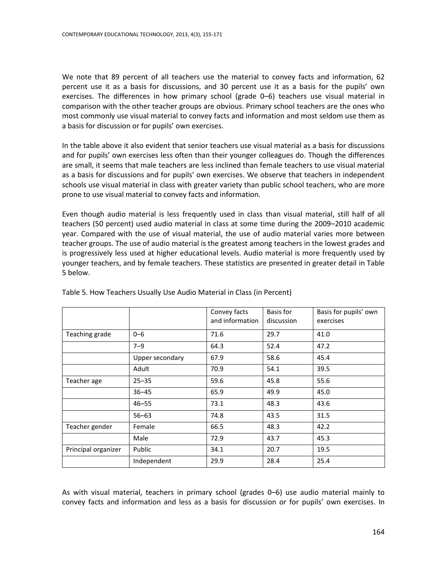We note that 89 percent of all teachers use the material to convey facts and information, 62 percent use it as a basis for discussions, and 30 percent use it as a basis for the pupils' own exercises. The differences in how primary school (grade 0–6) teachers use visual material in comparison with the other teacher groups are obvious. Primary school teachers are the ones who most commonly use visual material to convey facts and information and most seldom use them as a basis for discussion or for pupils' own exercises.

In the table above it also evident that senior teachers use visual material as a basis for discussions and for pupils' own exercises less often than their younger colleagues do. Though the differences are small, it seems that male teachers are less inclined than female teachers to use visual material as a basis for discussions and for pupils' own exercises. We observe that teachers in independent schools use visual material in class with greater variety than public school teachers, who are more prone to use visual material to convey facts and information.

Even though audio material is less frequently used in class than visual material, still half of all teachers (50 percent) used audio material in class at some time during the 2009–2010 academic year. Compared with the use of visual material, the use of audio material varies more between teacher groups. The use of audio material is the greatest among teachers in the lowest grades and is progressively less used at higher educational levels. Audio material is more frequently used by younger teachers, and by female teachers. These statistics are presented in greater detail in Table 5 below.

|                     |                 | Convey facts<br>and information | Basis for<br>discussion | Basis for pupils' own<br>exercises |
|---------------------|-----------------|---------------------------------|-------------------------|------------------------------------|
| Teaching grade      | $0 - 6$         | 71.6                            | 29.7                    | 41.0                               |
|                     | $7 - 9$         | 64.3                            | 52.4                    | 47.2                               |
|                     | Upper secondary | 67.9                            | 58.6                    | 45.4                               |
|                     | Adult           | 70.9                            | 54.1                    | 39.5                               |
| Teacher age         | $25 - 35$       | 59.6                            | 45.8                    | 55.6                               |
|                     | $36 - 45$       | 65.9                            | 49.9                    | 45.0                               |
|                     | $46 - 55$       | 73.1                            | 48.3                    | 43.6                               |
|                     | $56 - 63$       | 74.8                            | 43.5                    | 31.5                               |
| Teacher gender      | Female          | 66.5                            | 48.3                    | 42.2                               |
|                     | Male            | 72.9                            | 43.7                    | 45.3                               |
| Principal organizer | Public          | 34.1                            | 20.7                    | 19.5                               |
|                     | Independent     | 29.9                            | 28.4                    | 25.4                               |

Table 5. How Teachers Usually Use Audio Material in Class (in Percent)

As with visual material, teachers in primary school (grades 0–6) use audio material mainly to convey facts and information and less as a basis for discussion or for pupils' own exercises. In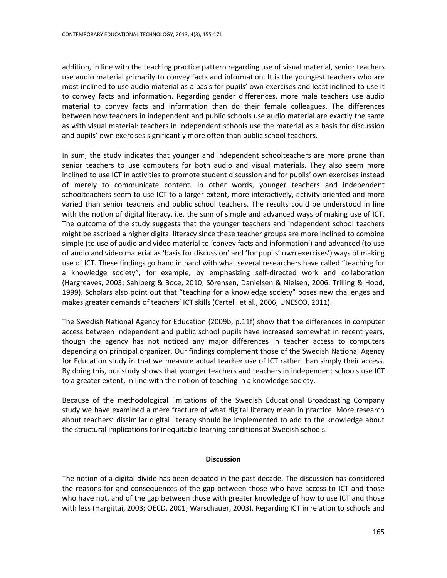addition, in line with the teaching practice pattern regarding use of visual material, senior teachers use audio material primarily to convey facts and information. It is the youngest teachers who are most inclined to use audio material as a basis for pupils' own exercises and least inclined to use it to convey facts and information. Regarding gender differences, more male teachers use audio material to convey facts and information than do their female colleagues. The differences between how teachers in independent and public schools use audio material are exactly the same as with visual material: teachers in independent schools use the material as a basis for discussion and pupils' own exercises significantly more often than public school teachers.

In sum, the study indicates that younger and independent schoolteachers are more prone than senior teachers to use computers for both audio and visual materials. They also seem more inclined to use ICT in activities to promote student discussion and for pupils' own exercises instead of merely to communicate content. In other words, younger teachers and independent schoolteachers seem to use ICT to a larger extent, more interactively, activity-oriented and more varied than senior teachers and public school teachers. The results could be understood in line with the notion of digital literacy, i.e. the sum of simple and advanced ways of making use of ICT. The outcome of the study suggests that the younger teachers and independent school teachers might be ascribed a higher digital literacy since these teacher groups are more inclined to combine simple (to use of audio and video material to 'convey facts and information') and advanced (to use of audio and video material as 'basis for discussion' and 'for pupils' own exercises') ways of making use of ICT. These findings go hand in hand with what several researchers have called "teaching for a knowledge society", for example, by emphasizing self-directed work and collaboration (Hargreaves, 2003; Sahlberg & Boce, 2010; Sörensen, Danielsen & Nielsen, 2006; Trilling & Hood, 1999). Scholars also point out that "teaching for a knowledge society" poses new challenges and makes greater demands of teachers' ICT skills (Cartelli et al., 2006; UNESCO, 2011).

The Swedish National Agency for Education (2009b, p.11f) show that the differences in computer access between independent and public school pupils have increased somewhat in recent years, though the agency has not noticed any major differences in teacher access to computers depending on principal organizer. Our findings complement those of the Swedish National Agency for Education study in that we measure actual teacher use of ICT rather than simply their access. By doing this, our study shows that younger teachers and teachers in independent schools use ICT to a greater extent, in line with the notion of teaching in a knowledge society.

Because of the methodological limitations of the Swedish Educational Broadcasting Company study we have examined a mere fracture of what digital literacy mean in practice. More research about teachers' dissimilar digital literacy should be implemented to add to the knowledge about the structural implications for inequitable learning conditions at Swedish schools.

## **Discussion**

The notion of a digital divide has been debated in the past decade. The discussion has considered the reasons for and consequences of the gap between those who have access to ICT and those who have not, and of the gap between those with greater knowledge of how to use ICT and those with less (Hargittai, 2003; OECD, 2001; Warschauer, 2003). Regarding ICT in relation to schools and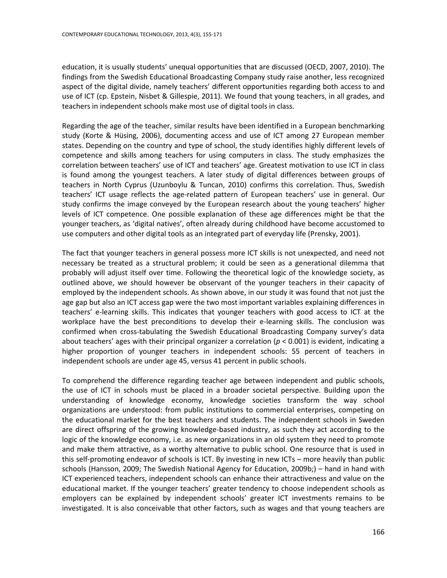education, it is usually students' unequal opportunities that are discussed (OECD, 2007, 2010). The findings from the Swedish Educational Broadcasting Company study raise another, less recognized aspect of the digital divide, namely teachers' different opportunities regarding both access to and use of ICT (cp. Epstein, Nisbet & Gillespie, 2011). We found that young teachers, in all grades, and teachers in independent schools make most use of digital tools in class.

Regarding the age of the teacher, similar results have been identified in a European benchmarking study (Korte & Hüsing, 2006), documenting access and use of ICT among 27 European member states. Depending on the country and type of school, the study identifies highly different levels of competence and skills among teachers for using computers in class. The study emphasizes the correlation between teachers' use of ICT and teachers' age. Greatest motivation to use ICT in class is found among the youngest teachers. A later study of digital differences between groups of teachers in North Cyprus (Uzunboylu & Tuncan, 2010) confirms this correlation. Thus, Swedish teachers' ICT usage reflects the age-related pattern of European teachers' use in general. Our study confirms the image conveyed by the European research about the young teachers' higher levels of ICT competence. One possible explanation of these age differences might be that the younger teachers, as 'digital natives', often already during childhood have become accustomed to use computers and other digital tools as an integrated part of everyday life (Prensky, 2001).

The fact that younger teachers in general possess more ICT skills is not unexpected, and need not necessary be treated as a structural problem; it could be seen as a generational dilemma that probably will adjust itself over time. Following the theoretical logic of the knowledge society, as outlined above, we should however be observant of the younger teachers in their capacity of employed by the independent schools. As shown above, in our study it was found that not just the age gap but also an ICT access gap were the two most important variables explaining differences in teachers' e-learning skills. This indicates that younger teachers with good access to ICT at the workplace have the best preconditions to develop their e-learning skills. The conclusion was confirmed when cross-tabulating the Swedish Educational Broadcasting Company survey's data about teachers' ages with their principal organizer a correlation (*p* < 0.001) is evident, indicating a higher proportion of younger teachers in independent schools: 55 percent of teachers in independent schools are under age 45, versus 41 percent in public schools.

To comprehend the difference regarding teacher age between independent and public schools, the use of ICT in schools must be placed in a broader societal perspective. Building upon the understanding of knowledge economy, knowledge societies transform the way school organizations are understood: from public institutions to commercial enterprises, competing on the educational market for the best teachers and students. The independent schools in Sweden are direct offspring of the growing knowledge-based industry, as such they act according to the logic of the knowledge economy, i.e. as new organizations in an old system they need to promote and make them attractive, as a worthy alternative to public school. One resource that is used in this self-promoting endeavor of schools is ICT. By investing in new ICTs – more heavily than public schools (Hansson, 2009; The Swedish National Agency for Education, 2009b;) – hand in hand with ICT experienced teachers, independent schools can enhance their attractiveness and value on the educational market. If the younger teachers' greater tendency to choose independent schools as employers can be explained by independent schools' greater ICT investments remains to be investigated. It is also conceivable that other factors, such as wages and that young teachers are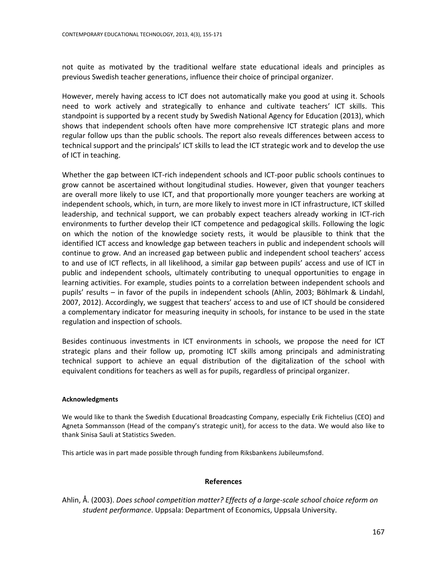not quite as motivated by the traditional welfare state educational ideals and principles as previous Swedish teacher generations, influence their choice of principal organizer.

However, merely having access to ICT does not automatically make you good at using it. Schools need to work actively and strategically to enhance and cultivate teachers' ICT skills. This standpoint is supported by a recent study by Swedish National Agency for Education (2013), which shows that independent schools often have more comprehensive ICT strategic plans and more regular follow ups than the public schools. The report also reveals differences between access to technical support and the principals' ICT skills to lead the ICT strategic work and to develop the use of ICT in teaching.

Whether the gap between ICT-rich independent schools and ICT-poor public schools continues to grow cannot be ascertained without longitudinal studies. However, given that younger teachers are overall more likely to use ICT, and that proportionally more younger teachers are working at independent schools, which, in turn, are more likely to invest more in ICT infrastructure, ICT skilled leadership, and technical support, we can probably expect teachers already working in ICT-rich environments to further develop their ICT competence and pedagogical skills. Following the logic on which the notion of the knowledge society rests, it would be plausible to think that the identified ICT access and knowledge gap between teachers in public and independent schools will continue to grow. And an increased gap between public and independent school teachers' access to and use of ICT reflects, in all likelihood, a similar gap between pupils' access and use of ICT in public and independent schools, ultimately contributing to unequal opportunities to engage in learning activities. For example, studies points to a correlation between independent schools and pupils' results – in favor of the pupils in independent schools (Ahlin, 2003; Böhlmark & Lindahl, 2007, 2012). Accordingly, we suggest that teachers' access to and use of ICT should be considered a complementary indicator for measuring inequity in schools, for instance to be used in the state regulation and inspection of schools.

Besides continuous investments in ICT environments in schools, we propose the need for ICT strategic plans and their follow up, promoting ICT skills among principals and administrating technical support to achieve an equal distribution of the digitalization of the school with equivalent conditions for teachers as well as for pupils, regardless of principal organizer.

## **Acknowledgments**

We would like to thank the Swedish Educational Broadcasting Company, especially Erik Fichtelius (CEO) and Agneta Sommansson (Head of the company's strategic unit), for access to the data. We would also like to thank Sinisa Sauli at Statistics Sweden.

This article was in part made possible through funding from Riksbankens Jubileumsfond.

## **References**

Ahlin, Å. (2003). *Does school competition matter? Effects of a large-scale school choice reform on student performance*. Uppsala: Department of Economics, Uppsala University.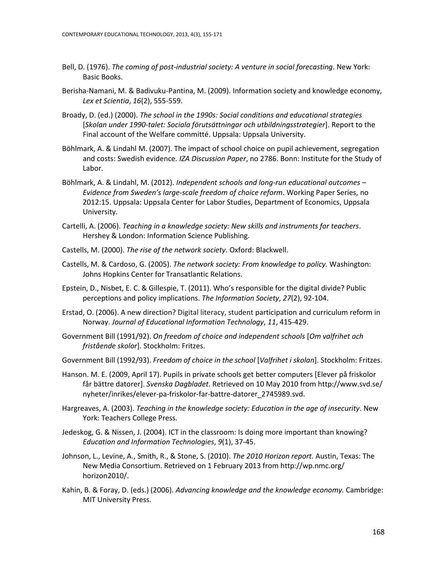- Bell, D. (1976). *The coming of post-industrial society: A venture in social forecasting*. New York: Basic Books.
- Berisha-Namani, M. & Badivuku-Pantina, M. (2009). Information society and knowledge economy, *Lex et Scientia*, *16*(2), 555-559.
- Broady, D. (ed.) (2000). *The school in the 1990s: Social conditions and educational strategies* [*Skolan under 1990-talet: Sociala förutsättningar och utbildningsstrategier*]. Report to the Final account of the Welfare committé. Uppsala: Uppsala University.
- Böhlmark, A. & Lindahl M. (2007). The impact of school choice on pupil achievement, segregation and costs: Swedish evidence*. IZA Discussion Paper*, no 2786. Bonn: Institute for the Study of Labor.
- Böhlmark, A. & Lindahl, M. (2012). *Independent schools and long-run educational outcomes – Evidence from Sweden's large-scale freedom of choice reform*. Working Paper Series, no 2012:15. Uppsala: Uppsala Center for Labor Studies, Department of Economics, Uppsala University.
- Cartelli, A. (2006). *Teaching in a knowledge society: New skills and instruments for teachers*. Hershey & London: Information Science Publishing.
- Castells, M. (2000). *The rise of the network society*. Oxford: Blackwell.
- Castells, M. & Cardoso, G. (2005). *The network society: From knowledge to policy.* Washington: Johns Hopkins Center for Transatlantic Relations.
- Epstein, D., Nisbet, E. C. & Gillespie, T. (2011). Who's responsible for the digital divide? Public perceptions and policy implications. *The Information Society*, *27*(2), 92-104.
- Erstad, O. (2006). A new direction? Digital literacy, student participation and curriculum reform in Norway. *Journal of Educational Information Technology*, *11*, 415-429.
- Government Bill (1991/92). *On freedom of choice and independent schools* [*Om valfrihet och fristående skolor*]*.* Stockholm: Fritzes.
- Government Bill (1992/93). *Freedom of choice in the school* [*Valfrihet i skolan*]. Stockholm: Fritzes.
- Hanson. M. E. (2009, April 17). Pupils in private schools get better computers [Elever på friskolor får bättre datorer]. *Svenska Dagbladet*. Retrieved on 10 May 2010 fro[m http://www.svd.se/](http://www.svd.se/%20nyheter/inrikes/elever-pa-friskolor-far-battre-datorer_2745989.svd)  [nyheter/inrikes/elever-pa-friskolor-far-battre-datorer\\_2745989.svd.](http://www.svd.se/%20nyheter/inrikes/elever-pa-friskolor-far-battre-datorer_2745989.svd)
- Hargreaves, A. (2003). *Teaching in the knowledge society: Education in the age of insecurity*. New York: Teachers College Press.
- Jedeskog, G. & Nissen, J. (2004). ICT in the classroom: Is doing more important than knowing? *Education and Information Technologies*, *9*(1), 37-45.
- Johnson, L., Levine, A., Smith, R., & Stone, S. (2010). *The 2010 Horizon report.* Austin, Texas: The New Media Consortium. Retrieved on 1 February 2013 from [http://wp.nmc.org/](http://wp.nmc.org/%20horizon2010/)  [horizon2010/.](http://wp.nmc.org/%20horizon2010/)
- Kahin, B. & Foray, D. (eds.) (2006). *Advancing knowledge and the knowledge economy.* Cambridge: MIT University Press.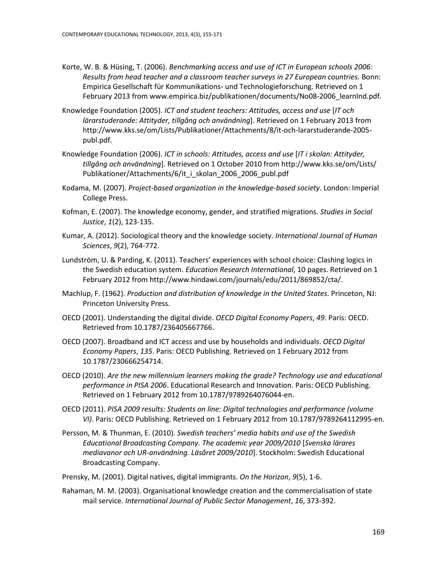- Korte, W. B. & Hüsing, T. (2006). *Benchmarking access and use of ICT in European schools 2006: Results from head teacher and a classroom teacher surveys in 27 European countries.* Bonn: Empirica Gesellschaft für Kommunikations- und Technologieforschung. Retrieved on 1 February 2013 from [www.empirica.biz/publikationen/documents/No08-2006\\_learnInd.pdf](http://www.empirica.biz/publikationen/documents/No08-2006_learnInd.pdf)*.*
- Knowledge Foundation (2005). *ICT and student teachers: Attitudes, access and use* [*IT och lärarstuderande: Attityder, tillgång och användning*]. Retrieved on 1 February 2013 from [http://www.kks.se/om/Lists/Publikationer/Attachments/8/it-och-lararstuderande-2005](http://www.kks.se/om/Lists/Publikationer/Attachments/8/it-och-lararstuderande-2005-publ.pdf) [publ.pdf.](http://www.kks.se/om/Lists/Publikationer/Attachments/8/it-och-lararstuderande-2005-publ.pdf)
- Knowledge Foundation (2006). *ICT in schools: Attitudes, access and use* [*IT i skolan: Attityder, tillgång och användning*]. Retrieved on 1 October 2010 fro[m http://www.kks.se/om/Lists/](http://www.kks.se/om/Lists/%20Publikationer/Attachments/6/it_i_skolan_2006_2006_publ.pdf)  [Publikationer/Attachments/6/it\\_i\\_skolan\\_2006\\_2006\\_publ.pdf](http://www.kks.se/om/Lists/%20Publikationer/Attachments/6/it_i_skolan_2006_2006_publ.pdf)
- Kodama, M. (2007). *Project-based organization in the knowledge-based society*. London: Imperial College Press.
- Kofman, E. (2007). The knowledge economy, gender, and stratified migrations. *Studies in Social Justice*, *1*(2), 123-135.
- Kumar, A. (2012). Sociological theory and the knowledge society. *International Journal of Human Sciences*, *9*(2), 764-772.
- Lundström, U. & Parding, K. (2011). Teachers' experiences with school choice: Clashing logics in the Swedish education system. *Education Research International*, 10 pages. Retrieved on 1 February 2012 from [http://www.hindawi.com/journals/edu/2011/869852/cta/.](http://www.hindawi.com/journals/edu/2011/869852/cta/)
- Machlup, F. (1962). *Production and distribution of knowledge in the United States*. Princeton, NJ: Princeton University Press.
- OECD (2001). Understanding the digital divide. *OECD Digital Economy Papers*, *49*. Paris: OECD. Retrieved from [10.1787/236405667766.](http://dx.doi.org/10.1787/236405667766)
- OECD (2007). Broadband and ICT access and use by households and individuals. *OECD Digital Economy Papers*, *135*. Paris: OECD Publishing. Retrieved on 1 February 2012 from [10.1787/230666254714.](http://dx.doi.org/10.1787/230666254714)
- OECD (2010). *Are the new millennium learners making the grade? Technology use and educational performance in PISA 2006*. Educational Research and Innovation. Paris: OECD Publishing. Retrieved on 1 February 2012 fro[m 10.1787/9789264076044-en.](http://dx.doi.org/10.1787/9789264076044-en)
- OECD (2011). *PISA 2009 results: Students on line: Digital technologies and performance (volume VI)*. Paris: OECD Publishing. Retrieved on 1 February 2012 from [10.1787/9789264112995-en.](http://dx.doi.org/10.1787/9789264112995-en)
- Persson, M. & Thunman, E. (2010). *Swedish teachers' media habits and use of the Swedish Educational Broadcasting Company. The academic year 2009/2010* [*Svenska lärares mediavanor och UR-användning. Läsåret 2009/2010*]. Stockholm: Swedish Educational Broadcasting Company.
- Prensky, M. (2001). Digital natives, digital immigrants. *On the Horizon*, *9*(5), 1-6.
- Rahaman, M. M. (2003). Organisational knowledge creation and the commercialisation of state mail service. *International Journal of Public Sector Management*, *16*, 373-392.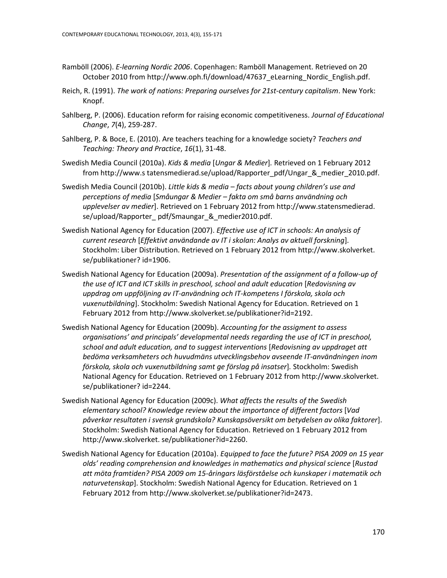- Ramböll (2006). *E-learning Nordic 2006*. Copenhagen: Ramböll Management. Retrieved on 20 October 2010 from [http://www.oph.fi/download/47637\\_eLearning\\_Nordic\\_English.pdf.](http://www.oph.fi/download/47637_eLearning_Nordic_English.pdf)
- Reich, R. (1991). *The work of nations: Preparing ourselves for 21st-century capitalism*. New York: Knopf.
- Sahlberg, P. (2006). Education reform for raising economic competitiveness. *Journal of Educational Change*, *7*(4), 259-287.
- Sahlberg, P. & Boce, E. (2010). Are teachers teaching for a knowledge society? *Teachers and Teaching: Theory and Practice*, *16*(1), 31-48.
- Swedish Media Council (2010a). *Kids & media* [*Ungar & Medier*]*.* Retrieved on 1 February 2012 from http://www.s tatensmedierad.se/upload/Rapporter\_pdf/Ungar\_&\_medier\_2010.pdf.
- Swedish Media Council (2010b). *Little kids & media – facts about young children's use and perceptions of media* [*Småungar & Medier – fakta om små barns användning och upplevelser av medier*]. Retrieved on 1 February 2012 from http://www.statensmedierad. se/upload/Rapporter\_ pdf/Smaungar\_&\_medier2010.pdf.
- Swedish National Agency for Education (2007). *Effective use of ICT in schools: An analysis of current research* [*Effektivt användande av IT i skolan: Analys av aktuell forskning*]. Stockholm: Liber Distribution. Retrieved on 1 February 2012 from http://www.skolverket. se/publikationer? id=1906.
- Swedish National Agency for Education (2009a). *Presentation of the assignment of a follow-up of the use of ICT and ICT skills in preschool, school and adult education* [*Redovisning av uppdrag om uppföljning av IT-användning och IT-kompetens I förskola, skola och vuxenutbildning*]. Stockholm: Swedish National Agency for Education. Retrieved on 1 February 2012 from [http://www.skolverket.se/publikationer?id=2192.](http://www.skolverket.se/publikationer?id=2192)
- Swedish National Agency for Education (2009b). *Accounting for the assigment to assess organisations' and principals' developmental needs regarding the use of ICT in preschool, school and adult education, and to suggest interventions* [*Redovisning av uppdraget att bedöma verksamheters och huvudmäns utvecklingsbehov avseende IT-användningen inom förskola, skola och vuxenutbildning samt ge förslag på insatser*]*.* Stockholm: Swedish National Agency for Education. Retrieved on 1 February 2012 from http://www.skolverket. se/publikationer? id=2244.
- Swedish National Agency for Education (2009c). *What affects the results of the Swedish elementary school? Knowledge review about the importance of different factors* [*Vad påverkar resultaten i svensk grundskola? Kunskapsöversikt om betydelsen av olika faktorer*]. Stockholm: Swedish National Agency for Education. Retrieved on 1 February 2012 from http://www.skolverket. se/publikationer?id=2260.
- Swedish National Agency for Education (2010a). *Equipped to face the future? PISA 2009 on 15 year olds' reading comprehension and knowledges in mathematics and physical science* [*Rustad att möta framtiden? PISA 2009 om 15-åringars läsförståelse och kunskaper i matematik och naturvetenskap*]. Stockholm: Swedish National Agency for Education. Retrieved on 1 February 2012 from [http://www.skolverket.se/publikationer?id=2473.](http://www.skolverket.se/publikationer?id=2473)